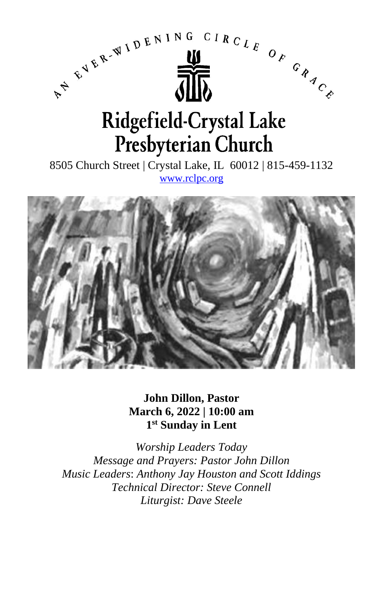

**John Dillon, Pastor March 6, 2022 | 10:00 am 1 st Sunday in Lent**

*Worship Leaders Today Message and Prayers: Pastor John Dillon Music Leaders*: *Anthony Jay Houston and Scott Iddings Technical Director: Steve Connell Liturgist: Dave Steele*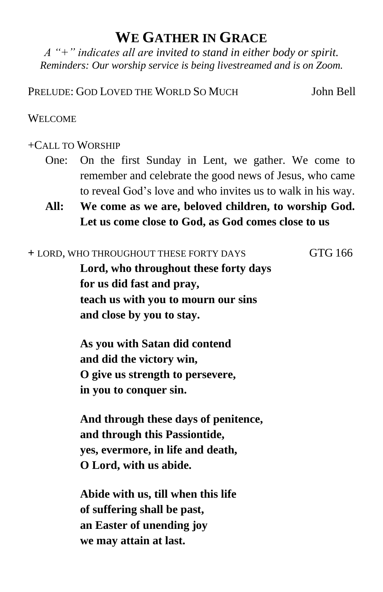## **WE GATHER IN GRACE**

*A "+" indicates all are invited to stand in either body or spirit. Reminders: Our worship service is being livestreamed and is on Zoom.*

PRELUDE: GOD LOVED THE WORLD SO MUCH John Bell

### WELCOME

## +CALL TO WORSHIP

- One: On the first Sunday in Lent, we gather. We come to remember and celebrate the good news of Jesus, who came to reveal God's love and who invites us to walk in his way.
- **All: We come as we are, beloved children, to worship God. Let us come close to God, as God comes close to us**

#### **+** LORD, WHO THROUGHOUT THESE FORTY DAYS GTG 166

**Lord, who throughout these forty days for us did fast and pray, teach us with you to mourn our sins and close by you to stay.**

**As you with Satan did contend and did the victory win, O give us strength to persevere, in you to conquer sin.**

**And through these days of penitence, and through this Passiontide, yes, evermore, in life and death, O Lord, with us abide.**

**Abide with us, till when this life of suffering shall be past, an Easter of unending joy we may attain at last.**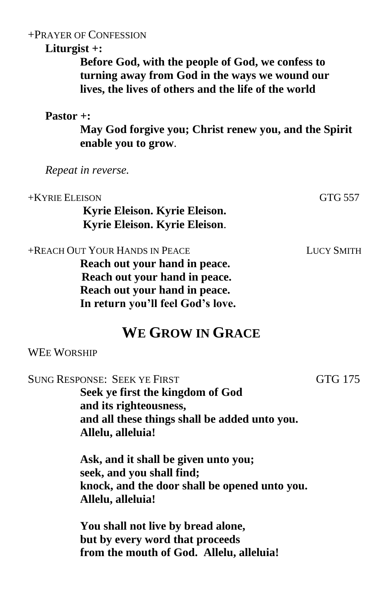## +PRAYER OF CONFESSION

## **Liturgist +:**

**Before God, with the people of God, we confess to turning away from God in the ways we wound our lives, the lives of others and the life of the world**

## **Pastor +:**

**May God forgive you; Christ renew you, and the Spirit enable you to grow**.

*Repeat in reverse.*

| +KYRIE ELEISON<br>Kyrie Eleison. Kyrie Eleison.<br>Kyrie Eleison. Kyrie Eleison.                                                                                        | GTG 557           |
|-------------------------------------------------------------------------------------------------------------------------------------------------------------------------|-------------------|
| +REACH OUT YOUR HANDS IN PEACE<br>Reach out your hand in peace.<br>Reach out your hand in peace.<br>Reach out your hand in peace.<br>In return you'll feel God's love.  | <b>LUCY SMITH</b> |
| <b>WE GROW IN GRACE</b>                                                                                                                                                 |                   |
| <b>WEE WORSHIP</b>                                                                                                                                                      |                   |
| <b>SUNG RESPONSE: SEEK YE FIRST</b><br>Seek ye first the kingdom of God<br>and its righteousness,<br>and all these things shall be added unto you.<br>Allelu, alleluia! | GTG 175           |
| Ask, and it shall be given unto you;<br>seek, and you shall find;<br>knock, and the door shall be opened unto you.<br>Allelu, alleluia!                                 |                   |
| You shall not live by bread alone,<br>but by every word that proceeds<br>from the mouth of God. Allelu, alleluia!                                                       |                   |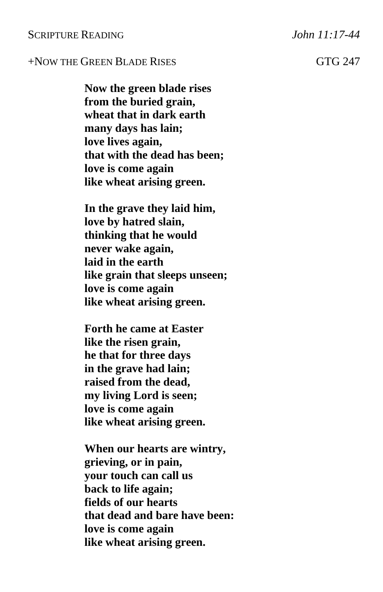#### SCRIPTURE READING *John 11:17-44*

## +NOW THE GREEN BLADE RISES GTG 247

**Now the green blade rises from the buried grain, wheat that in dark earth many days has lain; love lives again, that with the dead has been; love is come again like wheat arising green.**

**In the grave they laid him, love by hatred slain, thinking that he would never wake again, laid in the earth like grain that sleeps unseen; love is come again like wheat arising green.**

**Forth he came at Easter like the risen grain, he that for three days in the grave had lain; raised from the dead, my living Lord is seen; love is come again like wheat arising green.**

**When our hearts are wintry, grieving, or in pain, your touch can call us back to life again; fields of our hearts that dead and bare have been: love is come again like wheat arising green.**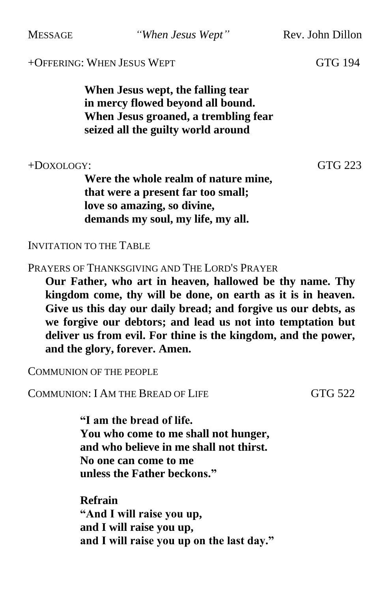MESSAGE *"When Jesus Wept"* Rev. John Dillon

## +OFFERING: WHEN JESUS WEPT GTG 194

**When Jesus wept, the falling tear in mercy flowed beyond all bound. When Jesus groaned, a trembling fear seized all the guilty world around**

+DOXOLOGY: GTG 223

**Were the whole realm of nature mine, that were a present far too small; love so amazing, so divine, demands my soul, my life, my all.**

INVITATION TO THE TABLE

PRAYERS OF THANKSGIVING AND THE LORD'S PRAYER

**Our Father, who art in heaven, hallowed be thy name. Thy kingdom come, thy will be done, on earth as it is in heaven. Give us this day our daily bread; and forgive us our debts, as we forgive our debtors; and lead us not into temptation but deliver us from evil. For thine is the kingdom, and the power, and the glory, forever. Amen.**

COMMUNION OF THE PEOPLE

COMMUNION: I AM THE BREAD OF LIFE GTG 522

**"I am the bread of life. You who come to me shall not hunger, and who believe in me shall not thirst. No one can come to me unless the Father beckons."**

**Refrain "And I will raise you up, and I will raise you up, and I will raise you up on the last day."**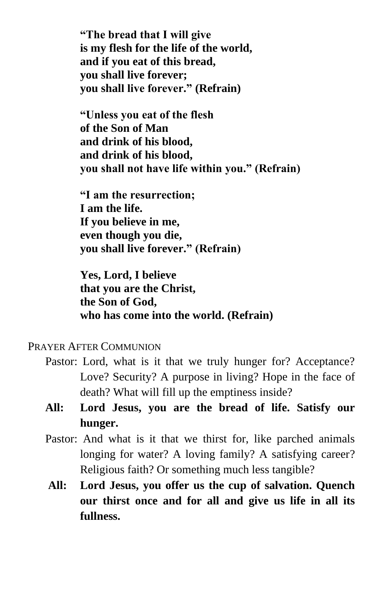**"The bread that I will give is my flesh for the life of the world, and if you eat of this bread, you shall live forever; you shall live forever." (Refrain)**

**"Unless you eat of the flesh of the Son of Man and drink of his blood, and drink of his blood, you shall not have life within you." (Refrain)**

**"I am the resurrection; I am the life. If you believe in me, even though you die, you shall live forever." (Refrain)**

**Yes, Lord, I believe that you are the Christ, the Son of God, who has come into the world. (Refrain)**

## PRAYER AFTER COMMUNION

- Pastor: Lord, what is it that we truly hunger for? Acceptance? Love? Security? A purpose in living? Hope in the face of death? What will fill up the emptiness inside?
- **All: Lord Jesus, you are the bread of life. Satisfy our hunger.**
- Pastor: And what is it that we thirst for, like parched animals longing for water? A loving family? A satisfying career? Religious faith? Or something much less tangible?
- **All: Lord Jesus, you offer us the cup of salvation. Quench our thirst once and for all and give us life in all its fullness.**